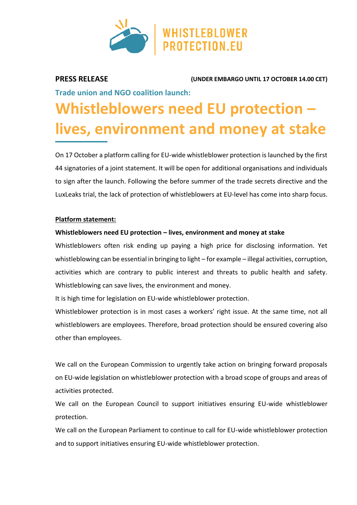

**PRESS RELEASE (UNDER EMBARGO UNTIL 17 OCTOBER 14.00 CET)**

**Trade union and NGO coalition launch:**

# **Whistleblowers need EU protection – lives, environment and money at stake**

On 17 October a platform calling for EU-wide whistleblower protection is launched by the first 44 signatories of a joint statement. It will be open for additional organisations and individuals to sign after the launch. Following the before summer of the trade secrets directive and the LuxLeaks trial, the lack of protection of whistleblowers at EU-level has come into sharp focus.

## **Platform statement:**

### **Whistleblowers need EU protection – lives, environment and money at stake**

Whistleblowers often risk ending up paying a high price for disclosing information. Yet whistleblowing can be essential in bringing to light – for example – illegal activities, corruption, activities which are contrary to public interest and threats to public health and safety. Whistleblowing can save lives, the environment and money.

It is high time for legislation on EU-wide whistleblower protection.

Whistleblower protection is in most cases a workers' right issue. At the same time, not all whistleblowers are employees. Therefore, broad protection should be ensured covering also other than employees.

We call on the European Commission to urgently take action on bringing forward proposals on EU-wide legislation on whistleblower protection with a broad scope of groups and areas of activities protected.

We call on the European Council to support initiatives ensuring EU-wide whistleblower protection.

We call on the European Parliament to continue to call for EU-wide whistleblower protection and to support initiatives ensuring EU-wide whistleblower protection.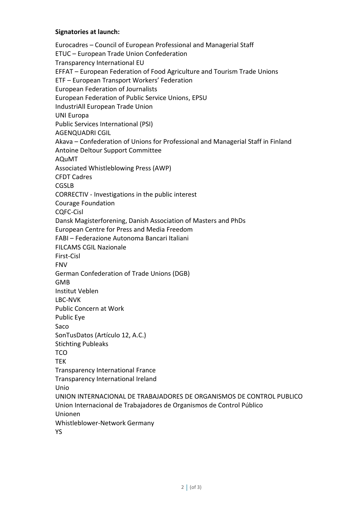#### **Signatories at launch:**

Eurocadres – Council of European Professional and Managerial Staff ETUC – European Trade Union Confederation Transparency International EU EFFAT – European Federation of Food Agriculture and Tourism Trade Unions ETF – European Transport Workers' Federation European Federation of Journalists European Federation of Public Service Unions, EPSU IndustriAll European Trade Union UNI Europa Public Services International (PSI) AGENQUADRI CGIL Akava – Confederation of Unions for Professional and Managerial Staff in Finland Antoine Deltour Support Committee AQuMT Associated Whistleblowing Press (AWP) CFDT Cadres CGSLB CORRECTIV - Investigations in the public interest Courage Foundation CQFC-Cisl Dansk Magisterforening, Danish Association of Masters and PhDs European Centre for Press and Media Freedom FABI – Federazione Autonoma Bancari Italiani FILCAMS CGIL Nazionale First-Cisl FNV German Confederation of Trade Unions (DGB) GMB Institut Veblen LBC-NVK Public Concern at Work Public Eye Saco SonTusDatos (Artículo 12, A.C.) Stichting Publeaks TCO TEK Transparency International France Transparency International Ireland Unio UNION INTERNACIONAL DE TRABAJADORES DE ORGANISMOS DE CONTROL PUBLICO Union Internacional de Trabajadores de Organismos de Control Público Unionen Whistleblower-Network Germany YS